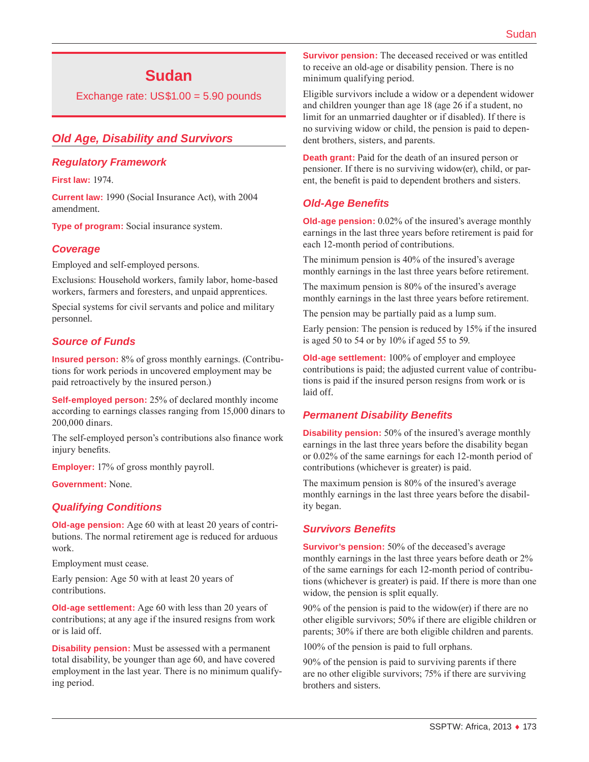# **Sudan**

Exchange rate: US\$1.00 = 5.90 pounds

# *Old Age, Disability and Survivors*

#### *Regulatory Framework*

**First law:** 1974.

**Current law:** 1990 (Social Insurance Act), with 2004 amendment.

**Type of program:** Social insurance system.

### *Coverage*

Employed and self-employed persons.

Exclusions: Household workers, family labor, home-based workers, farmers and foresters, and unpaid apprentices.

Special systems for civil servants and police and military personnel.

### *Source of Funds*

**Insured person:** 8% of gross monthly earnings. (Contributions for work periods in uncovered employment may be paid retroactively by the insured person.)

**Self-employed person:** 25% of declared monthly income according to earnings classes ranging from 15,000 dinars to 200,000 dinars.

The self-employed person's contributions also finance work injury benefits.

**Employer:** 17% of gross monthly payroll.

**Government:** None.

#### *Qualifying Conditions*

**Old-age pension:** Age 60 with at least 20 years of contributions. The normal retirement age is reduced for arduous work.

Employment must cease.

Early pension: Age 50 with at least 20 years of contributions.

**Old-age settlement:** Age 60 with less than 20 years of contributions; at any age if the insured resigns from work or is laid off.

**Disability pension:** Must be assessed with a permanent total disability, be younger than age 60, and have covered employment in the last year. There is no minimum qualifying period.

**Survivor pension:** The deceased received or was entitled to receive an old-age or disability pension. There is no minimum qualifying period.

Eligible survivors include a widow or a dependent widower and children younger than age 18 (age 26 if a student, no limit for an unmarried daughter or if disabled). If there is no surviving widow or child, the pension is paid to dependent brothers, sisters, and parents.

**Death grant:** Paid for the death of an insured person or pensioner. If there is no surviving widow(er), child, or parent, the benefit is paid to dependent brothers and sisters.

### *Old-Age Benefits*

**Old-age pension:** 0.02% of the insured's average monthly earnings in the last three years before retirement is paid for each 12-month period of contributions.

The minimum pension is 40% of the insured's average monthly earnings in the last three years before retirement.

The maximum pension is 80% of the insured's average monthly earnings in the last three years before retirement.

The pension may be partially paid as a lump sum.

Early pension: The pension is reduced by 15% if the insured is aged 50 to 54 or by 10% if aged 55 to 59.

**Old-age settlement:** 100% of employer and employee contributions is paid; the adjusted current value of contributions is paid if the insured person resigns from work or is laid off.

### *Permanent Disability Benefits*

**Disability pension:** 50% of the insured's average monthly earnings in the last three years before the disability began or 0.02% of the same earnings for each 12-month period of contributions (whichever is greater) is paid.

The maximum pension is 80% of the insured's average monthly earnings in the last three years before the disability began.

### *Survivors Benefits*

**Survivor's pension:** 50% of the deceased's average monthly earnings in the last three years before death or 2% of the same earnings for each 12-month period of contributions (whichever is greater) is paid. If there is more than one widow, the pension is split equally.

90% of the pension is paid to the widow(er) if there are no other eligible survivors; 50% if there are eligible children or parents; 30% if there are both eligible children and parents.

100% of the pension is paid to full orphans.

90% of the pension is paid to surviving parents if there are no other eligible survivors; 75% if there are surviving brothers and sisters.